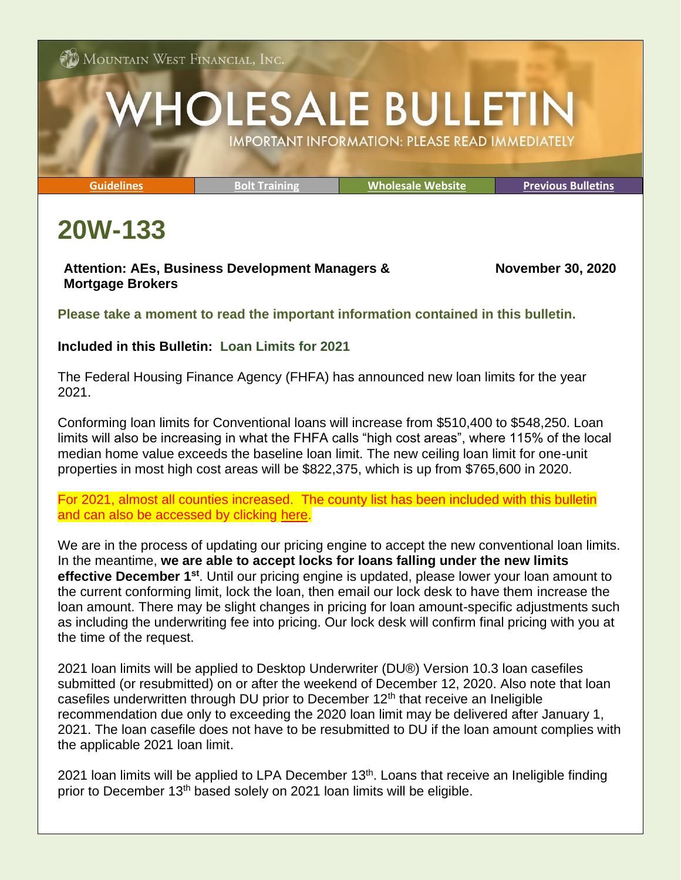**ON** MOUNTAIN WEST FINANCIAL, INC.

## HOLESALE BULLETIN **IMPORTANT INFORMATION: PLEASE READ IMMEDIATELY**

**[Guidelines](http://www.mwfwholesale.com/index.php/product-guidelines) [Bolt Training](http://www.mwfwholesale.com/index.php/bolt/how-to-s-pdf-s) [Wholesale Website](http://www.mwfwholesale.com/) [Previous Bulletins](http://www.mwfwholesale.com/index.php/bulletins)**

## **20W-133**

**Attention: AEs, Business Development Managers & Mortgage Brokers** 

**November 30, 2020**

**Please take a moment to read the important information contained in this bulletin.**

## **Included in this Bulletin: Loan Limits for 2021**

The Federal Housing Finance Agency (FHFA) has announced new loan limits for the year 2021.

Conforming loan limits for Conventional loans will increase from \$510,400 to \$548,250. Loan limits will also be increasing in what the FHFA calls "high cost areas", where 115% of the local median home value exceeds the baseline loan limit. The new ceiling loan limit for one-unit properties in most high cost areas will be \$822,375, which is up from \$765,600 in 2020.

For 2021, almost all counties increased. The county list has been included with this bulletin and can also be accessed by clicking [here.](https://www.fhfa.gov/DataTools/Downloads/Documents/Conforming-Loan-Limits/FullCountyLoanLimitList2021_HERA-BASED_FINAL_FLAT.xlsx)

We are in the process of updating our pricing engine to accept the new conventional loan limits. In the meantime, **we are able to accept locks for loans falling under the new limits effective December 1st**. Until our pricing engine is updated, please lower your loan amount to the current conforming limit, lock the loan, then email our lock desk to have them increase the loan amount. There may be slight changes in pricing for loan amount-specific adjustments such as including the underwriting fee into pricing. Our lock desk will confirm final pricing with you at the time of the request.

2021 loan limits will be applied to Desktop Underwriter (DU®) Version 10.3 loan casefiles submitted (or resubmitted) on or after the weekend of December 12, 2020. Also note that loan casefiles underwritten through DU prior to December  $12<sup>th</sup>$  that receive an Ineligible recommendation due only to exceeding the 2020 loan limit may be delivered after January 1, 2021. The loan casefile does not have to be resubmitted to DU if the loan amount complies with the applicable 2021 loan limit.

2021 loan limits will be applied to LPA December  $13<sup>th</sup>$ . Loans that receive an Ineligible finding prior to December 13<sup>th</sup> based solely on 2021 loan limits will be eligible.